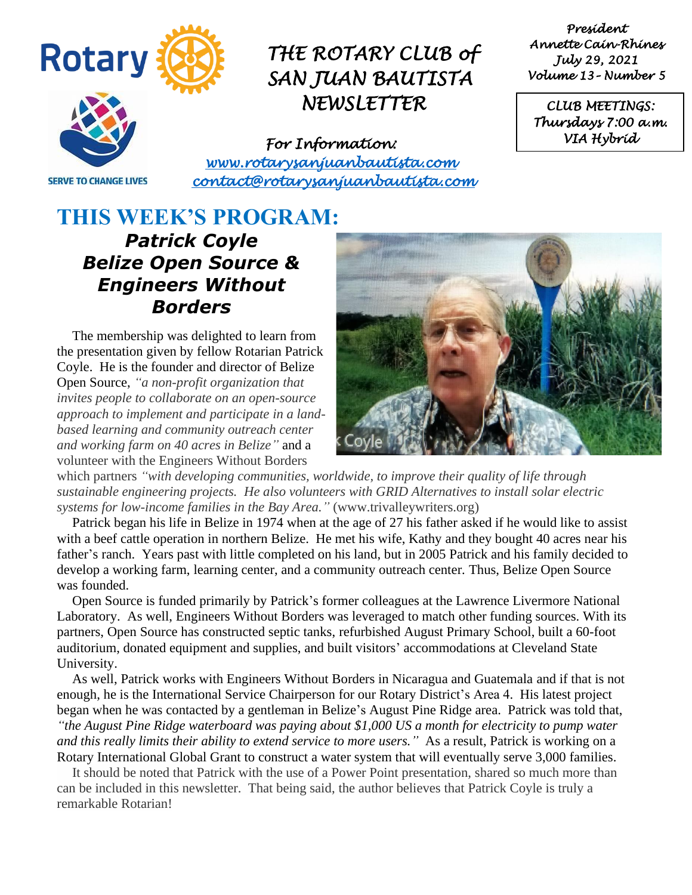

*President Annette Cain-Rhines July 29, 2021 Volume 13– Number 5* 

*CLUB MEETINGS: Thursdays 7:00 a.m. VIA Hybrid* 

**SERVE TO CHANGE LIVES** 

*For Information: [www.rotarysanjuanbautista.com](http://www.rotarysanjuanbautista.com/)  contact@rotarysanjuanbautista.com* 

## **THIS WEEK'S PROGRAM:**  *Patrick Coyle Belize Open Source & Engineers Without Borders*

The membership was delighted to learn from the presentation given by fellow Rotarian Patrick Coyle. He is the founder and director of Belize Open Source, *"a non-profit organization that invites people to collaborate on an open-source approach to implement and participate in a landbased learning and community outreach center and working farm on 40 acres in Belize"* and a volunteer with the Engineers Without Borders



which partners *"with developing communities, worldwide, to improve their quality of life through sustainable engineering projects. He also volunteers with GRID Alternatives to install solar electric systems for low-income families in the Bay Area."* (www.trivalleywriters.org)

Patrick began his life in Belize in 1974 when at the age of 27 his father asked if he would like to assist with a beef cattle operation in northern Belize. He met his wife, Kathy and they bought 40 acres near his father's ranch. Years past with little completed on his land, but in 2005 Patrick and his family decided to develop a working farm, learning center, and a community outreach center*.* Thus, Belize Open Source was founded.

Open Source is funded primarily by Patrick's former colleagues at the Lawrence Livermore National Laboratory. As well, Engineers Without Borders was leveraged to match other funding sources. With its partners, Open Source has constructed septic tanks, refurbished August Primary School, built a 60-foot auditorium, donated equipment and supplies, and built visitors' accommodations at Cleveland State University.

As well, Patrick works with Engineers Without Borders in Nicaragua and Guatemala and if that is not enough, he is the International Service Chairperson for our Rotary District's Area 4. His latest project began when he was contacted by a gentleman in Belize's August Pine Ridge area. Patrick was told that, *"the August Pine Ridge waterboard was paying about \$1,000 US a month for electricity to pump water and this really limits their ability to extend service to more users.*" As a result, Patrick is working on a Rotary International Global Grant to construct a water system that will eventually serve 3,000 families.

It should be noted that Patrick with the use of a Power Point presentation, shared so much more than can be included in this newsletter. That being said, the author believes that Patrick Coyle is truly a remarkable Rotarian!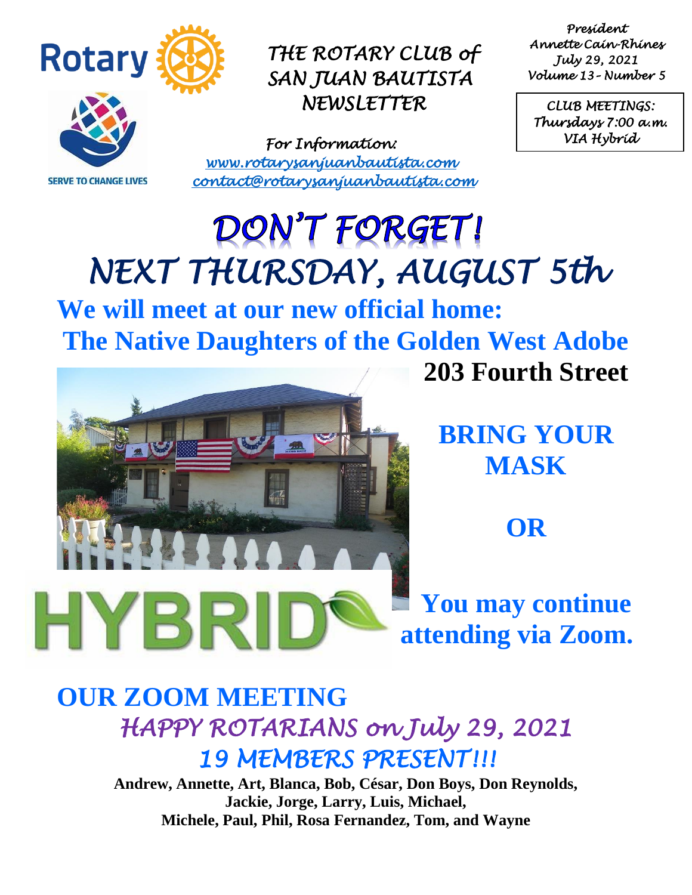

**SERVE TO CHANGE LIVES** 

*THE ROTARY CLUB of SAN JUAN BAUTISTA NEWSLETTER* 

*For Information: [www.rotarysanjuanbautista.com](http://www.rotarysanjuanbautista.com/)  contact@rotarysanjuanbautista.com* 

*President Annette Cain-Rhines July 29, 2021 Volume 13– Number 5* 

*CLUB MEETINGS: Thursdays 7:00 a.m. VIA Hybrid* 

# DON'T FORGET! *NEXT THURSDAY, AUGUST 5th*

**We will meet at our new official home: The Native Daughters of the Golden West Adobe**



**BRING YOUR MASK**

**203 Fourth Street**

**OR**

**You may continue attending via Zoom.**

# **OUR ZOOM MEETING**  *HAPPY ROTARIANS on July 29, 2021 19 MEMBERS PRESENT!!!*

**Andrew, Annette, Art, Blanca, Bob, César, Don Boys, Don Reynolds, Jackie, Jorge, Larry, Luis, Michael, Michele, Paul, Phil, Rosa Fernandez, Tom, and Wayne**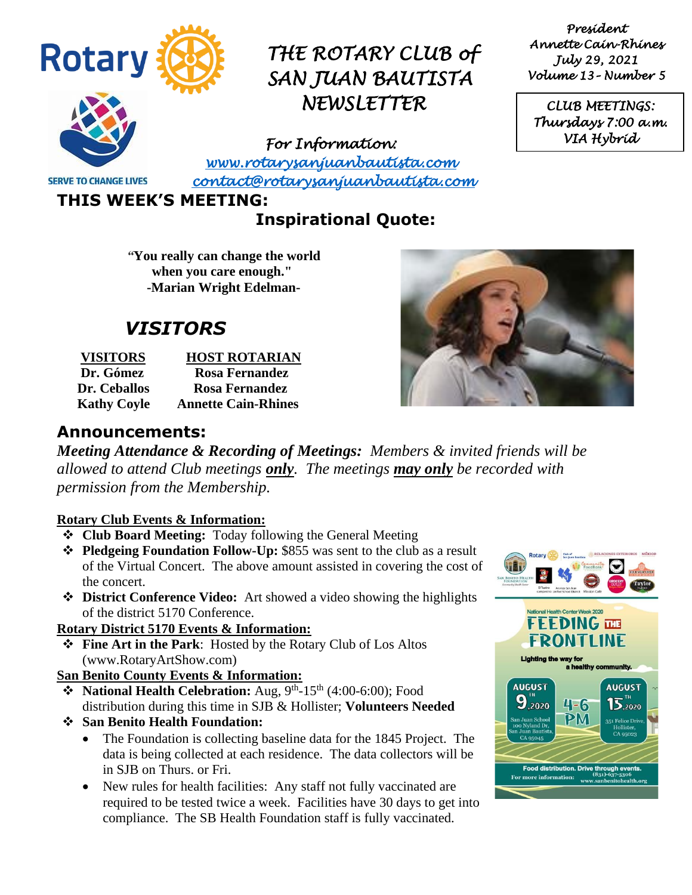

*President Annette Cain-Rhines July 29, 2021 Volume 13– Number 5* 

*CLUB MEETINGS: Thursdays 7:00 a.m. VIA Hybrid* 

*For Information:* 

**SERVE TO CHANGE LIVES** 

*[www.rotarysanjuanbautista.com](http://www.rotarysanjuanbautista.com/)  contact@rotarysanjuanbautista.com* 

**THIS WEEK'S MEETING:**

### **Inspirational Quote:**

*"***You really can change the world when you care enough." -Marian Wright Edelman-**

# *VISITORS*

| <b>VISITORS</b>    | <b>HOST ROTARIAN</b>       |
|--------------------|----------------------------|
| Dr. Gómez          | <b>Rosa Fernandez</b>      |
| Dr. Ceballos       | <b>Rosa Fernandez</b>      |
| <b>Kathy Coyle</b> | <b>Annette Cain-Rhines</b> |



#### **Announcements:**

*Meeting Attendance & Recording of Meetings: Members & invited friends will be allowed to attend Club meetings only. The meetings may only be recorded with permission from the Membership.*

#### **Rotary Club Events & Information:**

- ❖ **Club Board Meeting:** Today following the General Meeting
- ❖ **Pledgeing Foundation Follow-Up:** \$855 was sent to the club as a result of the Virtual Concert. The above amount assisted in covering the cost of the concert.
- ❖ **District Conference Video:** Art showed a video showing the highlights of the district 5170 Conference.

#### **Rotary District 5170 Events & Information:**

❖ **Fine Art in the Park**: Hosted by the Rotary Club of Los Altos (www.RotaryArtShow.com)

#### **San Benito County Events & Information:**

- ◆ National Health Celebration: Aug, 9<sup>th</sup>-15<sup>th</sup> (4:00-6:00); Food distribution during this time in SJB & Hollister; **Volunteers Needed**
- ❖ **San Benito Health Foundation:** 
	- The Foundation is collecting baseline data for the 1845 Project. The data is being collected at each residence. The data collectors will be in SJB on Thurs. or Fri.
	- New rules for health facilities: Any staff not fully vaccinated are required to be tested twice a week. Facilities have 30 days to get into compliance. The SB Health Foundation staff is fully vaccinated.

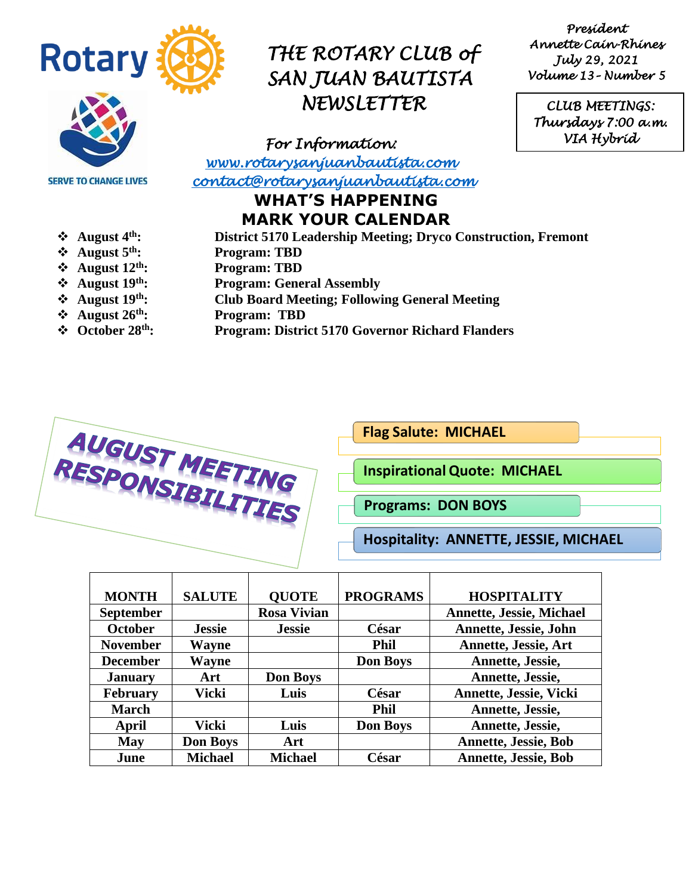

*President Annette Cain-Rhines July 29, 2021 Volume 13– Number 5* 

*CLUB MEETINGS: Thursdays 7:00 a.m. VIA Hybrid* 

**SERVE TO CHANGE LIVES** 

*For Information: [www.rotarysanjuanbautista.com](http://www.rotarysanjuanbautista.com/)* 

 *contact@rotarysanjuanbautista.com* 

### **WHAT'S HAPPENING MARK YOUR CALENDAR**

- 
- 
- 
- 
- 
- 
- 
- ❖ **August 4th: District 5170 Leadership Meeting; Dryco Construction, Fremont**
- ❖ **August 5th: Program: TBD**
- ❖ **August 12th: Program: TBD**
- **❖** August 19<sup>th</sup>: Program: General Assembly<br>❖ August 19<sup>th</sup>: Club Board Meeting; Follow
	- ❖ **August 19th: Club Board Meeting; Following General Meeting**
- ❖ **August 26th: Program: TBD**
- ❖ **October 28th: Program: District 5170 Governor Richard Flanders**



**Flag Salute: MICHAEL** 

**InspirationalQuote: MICHAEL**

**Programs: DON BOYS**

**Hospitality: ANNETTE, JESSIE, MICHAEL**

| <b>MONTH</b>     | <b>SALUTE</b>   | <b>QUOTE</b>       | <b>PROGRAMS</b> | <b>HOSPITALITY</b>              |
|------------------|-----------------|--------------------|-----------------|---------------------------------|
| <b>September</b> |                 | <b>Rosa Vivian</b> |                 | <b>Annette, Jessie, Michael</b> |
| <b>October</b>   | <b>Jessie</b>   | <b>Jessie</b>      | César           | <b>Annette, Jessie, John</b>    |
| <b>November</b>  | Wayne           |                    | <b>Phil</b>     | <b>Annette, Jessie, Art</b>     |
| <b>December</b>  | Wayne           |                    | <b>Don Boys</b> | Annette, Jessie,                |
| <b>January</b>   | Art             | <b>Don Boys</b>    |                 | Annette, Jessie,                |
| <b>February</b>  | Vicki           | Luis               | César           | <b>Annette, Jessie, Vicki</b>   |
| <b>March</b>     |                 |                    | <b>Phil</b>     | Annette, Jessie,                |
| April            | Vicki           | Luis               | <b>Don Boys</b> | Annette, Jessie,                |
| <b>May</b>       | <b>Don Boys</b> | Art                |                 | <b>Annette, Jessie, Bob</b>     |
| June             | <b>Michael</b>  | <b>Michael</b>     | César           | <b>Annette, Jessie, Bob</b>     |